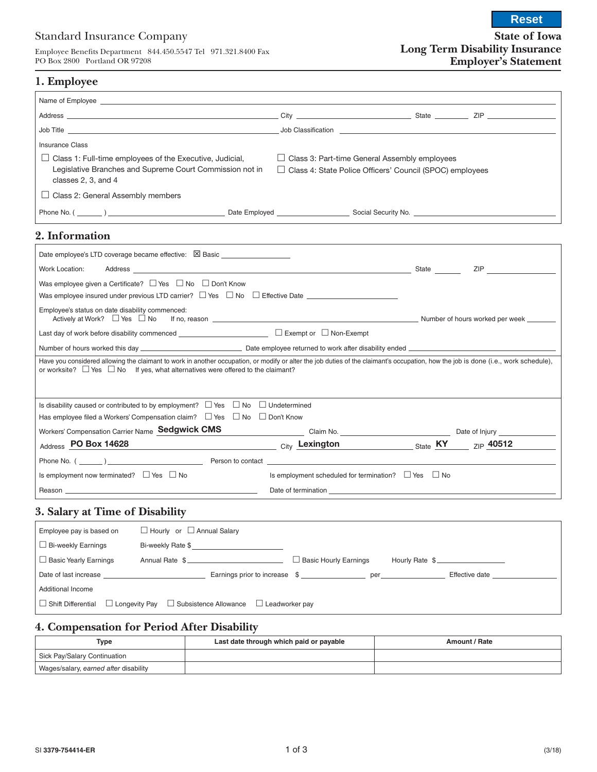### Standard Insurance Company

Employee Benefits Department 844.450.5547 Tel 971.321.8400 Fax PO Box 2800 Portland OR 97208

**Reset**

## **1. Employee**

| Name of Employee <u>experience and the contract of the contract of the contract of the contract of the contract of the contract of the contract of the contract of the contract of the contract of the contract of the contract </u>                                             |                                                                                                                                                                                                                                |                                                                                                                    |     |
|----------------------------------------------------------------------------------------------------------------------------------------------------------------------------------------------------------------------------------------------------------------------------------|--------------------------------------------------------------------------------------------------------------------------------------------------------------------------------------------------------------------------------|--------------------------------------------------------------------------------------------------------------------|-----|
|                                                                                                                                                                                                                                                                                  |                                                                                                                                                                                                                                |                                                                                                                    |     |
|                                                                                                                                                                                                                                                                                  |                                                                                                                                                                                                                                |                                                                                                                    |     |
| <b>Insurance Class</b>                                                                                                                                                                                                                                                           |                                                                                                                                                                                                                                |                                                                                                                    |     |
| $\Box$ Class 1: Full-time employees of the Executive, Judicial,<br>Legislative Branches and Supreme Court Commission not in<br>classes 2, 3, and 4                                                                                                                               |                                                                                                                                                                                                                                | $\Box$ Class 3: Part-time General Assembly employees<br>□ Class 4: State Police Officers' Council (SPOC) employees |     |
| $\Box$ Class 2: General Assembly members                                                                                                                                                                                                                                         |                                                                                                                                                                                                                                |                                                                                                                    |     |
|                                                                                                                                                                                                                                                                                  |                                                                                                                                                                                                                                |                                                                                                                    |     |
| 2. Information                                                                                                                                                                                                                                                                   |                                                                                                                                                                                                                                |                                                                                                                    |     |
| Date employee's LTD coverage became effective: $\boxtimes$ Basic _____________________                                                                                                                                                                                           |                                                                                                                                                                                                                                |                                                                                                                    |     |
| Work Location:<br>Address State State Address State Address State Address State Address State Address State Address State Address State Address State Address State Address State Address State Address Address Address Address Address Address                                  |                                                                                                                                                                                                                                |                                                                                                                    | ZIP |
| Was employee given a Certificate? □ Yes □ No □ Don't Know<br>Was employee insured under previous LTD carrier? $\Box$ Yes $\Box$ No $\Box$ Effective Date                                                                                                                         |                                                                                                                                                                                                                                |                                                                                                                    |     |
| Employee's status on date disability commenced:                                                                                                                                                                                                                                  |                                                                                                                                                                                                                                |                                                                                                                    |     |
|                                                                                                                                                                                                                                                                                  |                                                                                                                                                                                                                                |                                                                                                                    |     |
|                                                                                                                                                                                                                                                                                  |                                                                                                                                                                                                                                |                                                                                                                    |     |
| Have you considered allowing the claimant to work in another occupation, or modify or alter the job duties of the claimant's occupation, how the job is done (i.e., work schedule),<br>or worksite? $\Box$ Yes $\Box$ No If yes, what alternatives were offered to the claimant? |                                                                                                                                                                                                                                |                                                                                                                    |     |
| Is disability caused or contributed to by employment? $\Box$ Yes $\Box$ No $\Box$ Undetermined                                                                                                                                                                                   |                                                                                                                                                                                                                                |                                                                                                                    |     |
| Has employee filed a Workers' Compensation claim? □ Yes □ No □ Don't Know                                                                                                                                                                                                        |                                                                                                                                                                                                                                |                                                                                                                    |     |
| Workers' Compensation Carrier Name Sedgwick CMS                                                                                                                                                                                                                                  | Claim No. Claim No. 2008 Claim No. 2008 Claim No. 2008 Claim No. 2008 Claim No. 2008 Claim No. 2014 Claim No. 2014 Claim No. 2014 Claim No. 2014 Claim No. 2014 Claim No. 2014 Claim No. 2014 Claim No. 2014 Claim No. 2014 Cl |                                                                                                                    |     |
| Address PO Box 14628<br>$_{\rm City}$ Lexington $_{\rm State}$ KY $_{\rm ZIP}$ 40512                                                                                                                                                                                             |                                                                                                                                                                                                                                |                                                                                                                    |     |
|                                                                                                                                                                                                                                                                                  |                                                                                                                                                                                                                                |                                                                                                                    |     |
| Is employment now terminated? $\Box$ Yes $\Box$ No                                                                                                                                                                                                                               |                                                                                                                                                                                                                                | Is employment scheduled for termination? $\Box$ Yes $\Box$ No                                                      |     |
|                                                                                                                                                                                                                                                                                  |                                                                                                                                                                                                                                |                                                                                                                    |     |

### **3. Salary at Time of Disability**

| Employee pay is based on                                                                                | $\Box$ Hourly or $\Box$ Annual Salary |                               |                |  |  |  |
|---------------------------------------------------------------------------------------------------------|---------------------------------------|-------------------------------|----------------|--|--|--|
| $\Box$ Bi-weekly Earnings                                                                               | Bi-weekly Rate \$                     |                               |                |  |  |  |
| $\Box$ Basic Yearly Earnings                                                                            | Annual Rate \$                        | $\Box$ Basic Hourly Earnings  | Hourly Rate \$ |  |  |  |
| Date of last increase                                                                                   |                                       | Earnings prior to increase \$ | Effective date |  |  |  |
| Additional Income                                                                                       |                                       |                               |                |  |  |  |
| $\Box$ Longevity Pay<br>$\Box$ Shift Differential<br>$\Box$ Subsistence Allowance $\Box$ Leadworker pay |                                       |                               |                |  |  |  |

## **4. Compensation for Period After Disability**

| Type                                  | Last date through which paid or payable | Amount / Rate |
|---------------------------------------|-----------------------------------------|---------------|
| Sick Pay/Salary Continuation          |                                         |               |
| Wages/salary, earned after disability |                                         |               |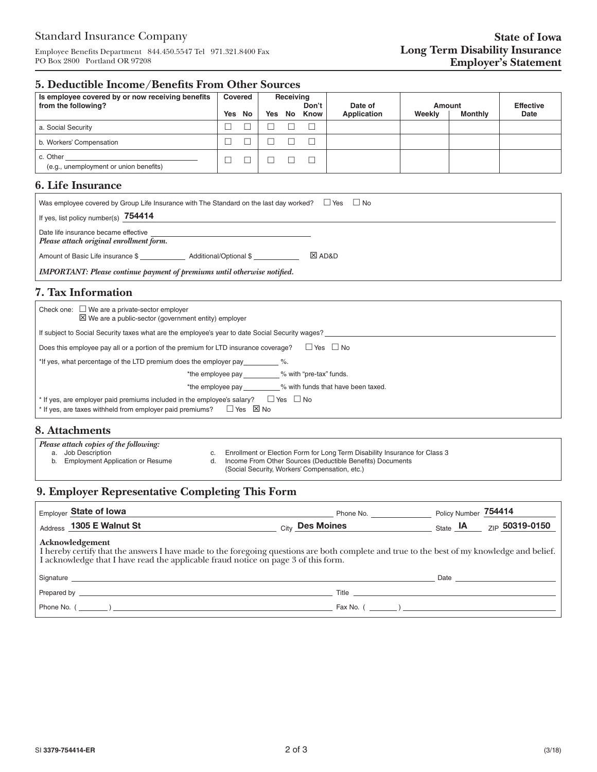Employee Benefits Department 844.450.5547 Tel 971.321.8400 Fax PO Box 2800 Portland OR 97208

## **5. Deductible Income/Benefits From Other Sources**

| Is employee covered by or now receiving benefits<br>from the following? | Covered |     | Receiving | Don't | Date of            | Amount |                | <b>Effective</b> |
|-------------------------------------------------------------------------|---------|-----|-----------|-------|--------------------|--------|----------------|------------------|
|                                                                         | Yes No  | Yes | No        | Know  | <b>Application</b> | Weekly | <b>Monthly</b> | Date             |
| a. Social Security                                                      |         |     |           |       |                    |        |                |                  |
| b. Workers' Compensation                                                |         |     |           |       |                    |        |                |                  |
| c. Other<br>(e.g., unemployment or union benefits)                      |         |     |           |       |                    |        |                |                  |

### **6. Life Insurance**

| Was employee covered by Group Life Insurance with The Standard on the last day worked? $\Box$ Yes<br>$\Box$ No |                    |  |  |  |  |  |  |
|----------------------------------------------------------------------------------------------------------------|--------------------|--|--|--|--|--|--|
| If yes, list policy number(s) 754414                                                                           |                    |  |  |  |  |  |  |
| Date life insurance became effective<br>Please attach original enrollment form.                                |                    |  |  |  |  |  |  |
| Amount of Basic Life insurance \$<br>Additional/Optional \$                                                    | <b>EX AD&amp;D</b> |  |  |  |  |  |  |
| <b>IMPORTANT:</b> Please continue payment of premiums until otherwise notified.                                |                    |  |  |  |  |  |  |

# **7. Tax Information**

| Check one: $\Box$ We are a private-sector employer<br>$\boxtimes$ We are a public-sector (government entity) employer                                                                       |  |  |  |  |
|---------------------------------------------------------------------------------------------------------------------------------------------------------------------------------------------|--|--|--|--|
| If subject to Social Security taxes what are the employee's year to date Social Security wages?                                                                                             |  |  |  |  |
| □ Yes □ No<br>Does this employee pay all or a portion of the premium for LTD insurance coverage?                                                                                            |  |  |  |  |
| *If yes, what percentage of the LTD premium does the employer pay                                                                                                                           |  |  |  |  |
| % with "pre-tax" funds.<br>*the employee pay                                                                                                                                                |  |  |  |  |
| % with funds that have been taxed.<br>*the employee pay                                                                                                                                     |  |  |  |  |
| $\Box$ Yes $\Box$ No<br>* If yes, are employer paid premiums included in the employee's salary?<br>$*$ If yes, are taxes withheld from employer paid premiums? $\square$ Yes $\boxtimes$ No |  |  |  |  |

### **8. Attachments**

| <b>Please attach copies of the following:</b> |                                                           |  |                                                                                                                                                                                           |  |  |  |
|-----------------------------------------------|-----------------------------------------------------------|--|-------------------------------------------------------------------------------------------------------------------------------------------------------------------------------------------|--|--|--|
|                                               | a. Job Description<br>b. Employment Application or Resume |  | Enrollment or Election Form for Long Term Disability Insurance for Class 3<br>Income From Other Sources (Deductible Benefits) Documents<br>(Social Security, Workers' Compensation, etc.) |  |  |  |

# **9. Employer Representative Completing This Form**

| Employer State of Iowa                                                                                                                                                                                                                            | Phone No.                                                                                                                                                                                                                           | Policy Number 754414                                                                                                                                                                                                           |  |  |  |  |  |
|---------------------------------------------------------------------------------------------------------------------------------------------------------------------------------------------------------------------------------------------------|-------------------------------------------------------------------------------------------------------------------------------------------------------------------------------------------------------------------------------------|--------------------------------------------------------------------------------------------------------------------------------------------------------------------------------------------------------------------------------|--|--|--|--|--|
| Address 1305 E Walnut St                                                                                                                                                                                                                          | City Des Moines                                                                                                                                                                                                                     | $_{\text{State}}$ $\textsf{IA}$<br><sub>7IP</sub> 50319-0150                                                                                                                                                                   |  |  |  |  |  |
| Acknowledgement<br>I hereby certify that the answers I have made to the foregoing questions are both complete and true to the best of my knowledge and belief. I acknowledge that I have read the applicable fraud notice on page 3 of this form. |                                                                                                                                                                                                                                     |                                                                                                                                                                                                                                |  |  |  |  |  |
| Signature experience and the contract of the contract of the contract of the contract of the contract of the contract of the contract of the contract of the contract of the contract of the contract of the contract of the c                    |                                                                                                                                                                                                                                     | Date and the contract of the contract of the contract of the contract of the contract of the contract of the contract of the contract of the contract of the contract of the contract of the contract of the contract of the c |  |  |  |  |  |
|                                                                                                                                                                                                                                                   | Title <b>The Community of the Community Community</b> and the Community of the Community of the Community of the Community of the Community of the Community of the Community of the Community of the Community of the Community of |                                                                                                                                                                                                                                |  |  |  |  |  |
| $\Box$ Phone No. $($                                                                                                                                                                                                                              |                                                                                                                                                                                                                                     |                                                                                                                                                                                                                                |  |  |  |  |  |